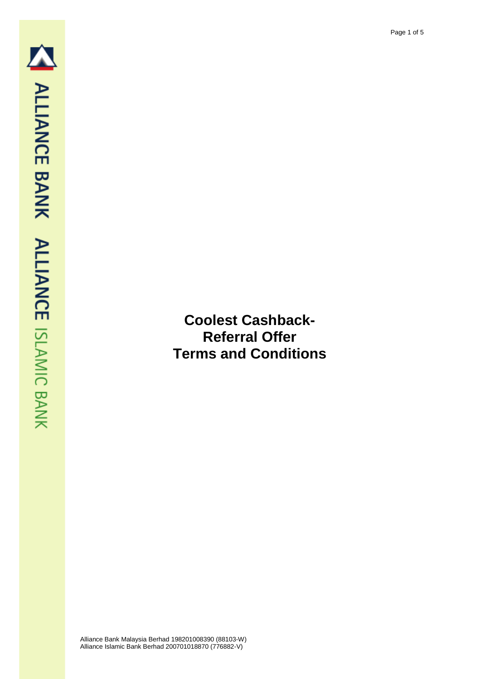**Coolest Cashback-Referral Offer Terms and Conditions**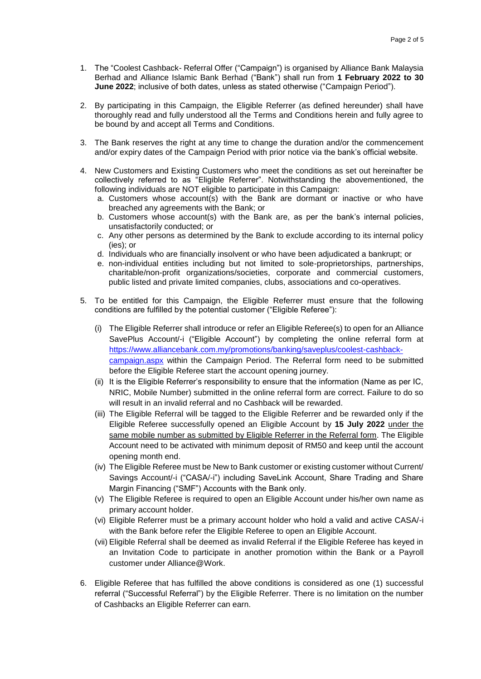- 1. The "Coolest Cashback- Referral Offer ("Campaign") is organised by Alliance Bank Malaysia Berhad and Alliance Islamic Bank Berhad ("Bank") shall run from **1 February 2022 to 30 June 2022**; inclusive of both dates, unless as stated otherwise ("Campaign Period").
- 2. By participating in this Campaign, the Eligible Referrer (as defined hereunder) shall have thoroughly read and fully understood all the Terms and Conditions herein and fully agree to be bound by and accept all Terms and Conditions.
- 3. The Bank reserves the right at any time to change the duration and/or the commencement and/or expiry dates of the Campaign Period with prior notice via the bank's official website.
- 4. New Customers and Existing Customers who meet the conditions as set out hereinafter be collectively referred to as "Eligible Referrer". Notwithstanding the abovementioned, the following individuals are NOT eligible to participate in this Campaign:
	- a. Customers whose account(s) with the Bank are dormant or inactive or who have breached any agreements with the Bank; or
	- b. Customers whose account(s) with the Bank are, as per the bank's internal policies, unsatisfactorily conducted; or
	- c. Any other persons as determined by the Bank to exclude according to its internal policy (ies); or
	- d. Individuals who are financially insolvent or who have been adjudicated a bankrupt; or
	- e. non-individual entities including but not limited to sole-proprietorships, partnerships, charitable/non-profit organizations/societies, corporate and commercial customers, public listed and private limited companies, clubs, associations and co-operatives.
- 5. To be entitled for this Campaign, the Eligible Referrer must ensure that the following conditions are fulfilled by the potential customer ("Eligible Referee"):
	- (i) The Eligible Referrer shall introduce or refer an Eligible Referee(s) to open for an Alliance SavePlus Account/-i ("Eligible Account") by completing the online referral form at [https://www.alliancebank.com.my/promotions/banking/saveplus/coolest-cashback](https://www.alliancebank.com.my/promotions/banking/saveplus/coolest-cashback-campaign.aspx)[campaign.aspx](https://www.alliancebank.com.my/promotions/banking/saveplus/coolest-cashback-campaign.aspx) within the Campaign Period. The Referral form need to be submitted before the Eligible Referee start the account opening journey.
	- (ii) It is the Eligible Referrer's responsibility to ensure that the information (Name as per IC, NRIC, Mobile Number) submitted in the online referral form are correct. Failure to do so will result in an invalid referral and no Cashback will be rewarded.
	- (iii) The Eligible Referral will be tagged to the Eligible Referrer and be rewarded only if the Eligible Referee successfully opened an Eligible Account by **15 July 2022** under the same mobile number as submitted by Eligible Referrer in the Referral form. The Eligible Account need to be activated with minimum deposit of RM50 and keep until the account opening month end.
	- (iv) The Eligible Referee must be New to Bank customer or existing customer without Current/ Savings Account/-i ("CASA/-i") including SaveLink Account, Share Trading and Share Margin Financing ("SMF") Accounts with the Bank only.
	- (v) The Eligible Referee is required to open an Eligible Account under his/her own name as primary account holder.
	- (vi) Eligible Referrer must be a primary account holder who hold a valid and active CASA/-i with the Bank before refer the Eligible Referee to open an Eligible Account.
	- (vii) Eligible Referral shall be deemed as invalid Referral if the Eligible Referee has keyed in an Invitation Code to participate in another promotion within the Bank or a Payroll customer under Alliance@Work.
- 6. Eligible Referee that has fulfilled the above conditions is considered as one (1) successful referral ("Successful Referral") by the Eligible Referrer. There is no limitation on the number of Cashbacks an Eligible Referrer can earn.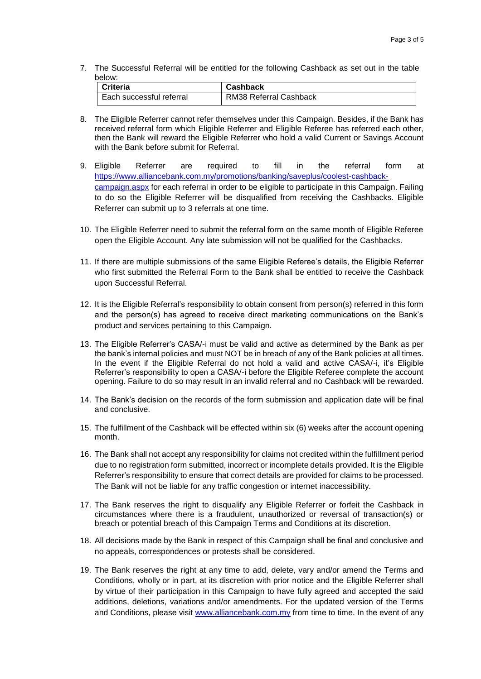7. The Successful Referral will be entitled for the following Cashback as set out in the table below:

| Criteria                   | <b>Cashback</b>               |
|----------------------------|-------------------------------|
| l Each successful referral | <b>RM38 Referral Cashback</b> |

- 8. The Eligible Referrer cannot refer themselves under this Campaign. Besides, if the Bank has received referral form which Eligible Referrer and Eligible Referee has referred each other, then the Bank will reward the Eligible Referrer who hold a valid Current or Savings Account with the Bank before submit for Referral.
- 9. Eligible Referrer are required to fill in the referral form at [https://www.alliancebank.com.my/promotions/banking/saveplus/coolest-cashback](https://www.alliancebank.com.my/promotions/banking/saveplus/coolest-cashback-campaign.aspx)[campaign.aspx](https://www.alliancebank.com.my/promotions/banking/saveplus/coolest-cashback-campaign.aspx) for each referral in order to be eligible to participate in this Campaign. Failing to do so the Eligible Referrer will be disqualified from receiving the Cashbacks. Eligible Referrer can submit up to 3 referrals at one time.
- 10. The Eligible Referrer need to submit the referral form on the same month of Eligible Referee open the Eligible Account. Any late submission will not be qualified for the Cashbacks.
- 11. If there are multiple submissions of the same Eligible Referee's details, the Eligible Referrer who first submitted the Referral Form to the Bank shall be entitled to receive the Cashback upon Successful Referral.
- 12. It is the Eligible Referral's responsibility to obtain consent from person(s) referred in this form and the person(s) has agreed to receive direct marketing communications on the Bank's product and services pertaining to this Campaign.
- 13. The Eligible Referrer's CASA/-i must be valid and active as determined by the Bank as per the bank's internal policies and must NOT be in breach of any of the Bank policies at all times. In the event if the Eligible Referral do not hold a valid and active CASA/-i, it's Eligible Referrer's responsibility to open a CASA/-i before the Eligible Referee complete the account opening. Failure to do so may result in an invalid referral and no Cashback will be rewarded.
- 14. The Bank's decision on the records of the form submission and application date will be final and conclusive.
- 15. The fulfillment of the Cashback will be effected within six (6) weeks after the account opening month.
- 16. The Bank shall not accept any responsibility for claims not credited within the fulfillment period due to no registration form submitted, incorrect or incomplete details provided. It is the Eligible Referrer's responsibility to ensure that correct details are provided for claims to be processed. The Bank will not be liable for any traffic congestion or internet inaccessibility.
- 17. The Bank reserves the right to disqualify any Eligible Referrer or forfeit the Cashback in circumstances where there is a fraudulent, unauthorized or reversal of transaction(s) or breach or potential breach of this Campaign Terms and Conditions at its discretion.
- 18. All decisions made by the Bank in respect of this Campaign shall be final and conclusive and no appeals, correspondences or protests shall be considered.
- 19. The Bank reserves the right at any time to add, delete, vary and/or amend the Terms and Conditions, wholly or in part, at its discretion with prior notice and the Eligible Referrer shall by virtue of their participation in this Campaign to have fully agreed and accepted the said additions, deletions, variations and/or amendments. For the updated version of the Terms and Conditions, please visit [www.alliancebank.com.my](http://www.alliancebank.com.my/) from time to time. In the event of any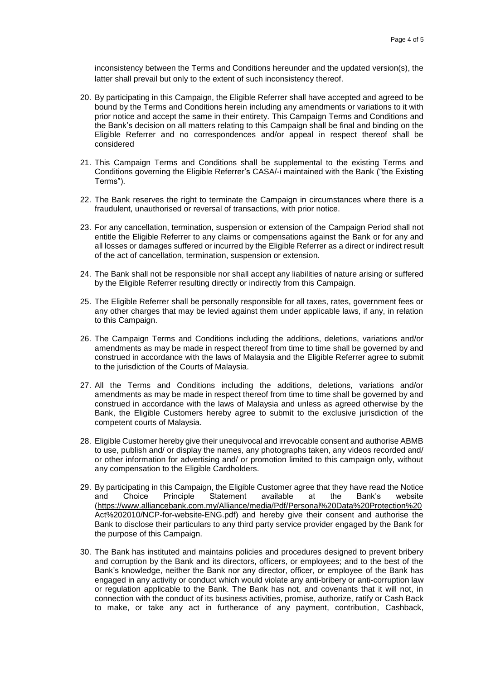inconsistency between the Terms and Conditions hereunder and the updated version(s), the latter shall prevail but only to the extent of such inconsistency thereof.

- 20. By participating in this Campaign, the Eligible Referrer shall have accepted and agreed to be bound by the Terms and Conditions herein including any amendments or variations to it with prior notice and accept the same in their entirety. This Campaign Terms and Conditions and the Bank's decision on all matters relating to this Campaign shall be final and binding on the Eligible Referrer and no correspondences and/or appeal in respect thereof shall be considered
- 21. This Campaign Terms and Conditions shall be supplemental to the existing Terms and Conditions governing the Eligible Referrer's CASA/-i maintained with the Bank ("the Existing Terms").
- 22. The Bank reserves the right to terminate the Campaign in circumstances where there is a fraudulent, unauthorised or reversal of transactions, with prior notice.
- 23. For any cancellation, termination, suspension or extension of the Campaign Period shall not entitle the Eligible Referrer to any claims or compensations against the Bank or for any and all losses or damages suffered or incurred by the Eligible Referrer as a direct or indirect result of the act of cancellation, termination, suspension or extension.
- 24. The Bank shall not be responsible nor shall accept any liabilities of nature arising or suffered by the Eligible Referrer resulting directly or indirectly from this Campaign.
- 25. The Eligible Referrer shall be personally responsible for all taxes, rates, government fees or any other charges that may be levied against them under applicable laws, if any, in relation to this Campaign.
- 26. The Campaign Terms and Conditions including the additions, deletions, variations and/or amendments as may be made in respect thereof from time to time shall be governed by and construed in accordance with the laws of Malaysia and the Eligible Referrer agree to submit to the jurisdiction of the Courts of Malaysia.
- 27. All the Terms and Conditions including the additions, deletions, variations and/or amendments as may be made in respect thereof from time to time shall be governed by and construed in accordance with the laws of Malaysia and unless as agreed otherwise by the Bank, the Eligible Customers hereby agree to submit to the exclusive jurisdiction of the competent courts of Malaysia.
- 28. Eligible Customer hereby give their unequivocal and irrevocable consent and authorise ABMB to use, publish and/ or display the names, any photographs taken, any videos recorded and/ or other information for advertising and/ or promotion limited to this campaign only, without any compensation to the Eligible Cardholders.
- 29. By participating in this Campaign, the Eligible Customer agree that they have read the Notice<br>and Choice Principle Statement available at the Bank's website and Choice Principle Statement available at the Bank's website [\(https://www.alliancebank.com.my/Alliance/media/Pdf/Personal%20Data%20Protection%20](https://www.alliancebank.com.my/Alliance/media/Pdf/Personal%20Data%20Protection%20Act%202010/NCP-for-website-ENG.pdf) [Act%202010/NCP-for-website-ENG.pdf\)](https://www.alliancebank.com.my/Alliance/media/Pdf/Personal%20Data%20Protection%20Act%202010/NCP-for-website-ENG.pdf) and hereby give their consent and authorise the Bank to disclose their particulars to any third party service provider engaged by the Bank for the purpose of this Campaign.
- 30. The Bank has instituted and maintains policies and procedures designed to prevent bribery and corruption by the Bank and its directors, officers, or employees; and to the best of the Bank's knowledge, neither the Bank nor any director, officer, or employee of the Bank has engaged in any activity or conduct which would violate any anti-bribery or anti-corruption law or regulation applicable to the Bank. The Bank has not, and covenants that it will not, in connection with the conduct of its business activities, promise, authorize, ratify or Cash Back to make, or take any act in furtherance of any payment, contribution, Cashback,